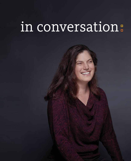# in conversation: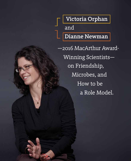Victoria Orphan and Dianne Newman

—2016 MacArthur Award- Winning Scientists on Friendship, Microbes, and How to be a Role Model.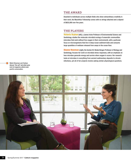### THE AWARD

Awarded to individuals across multiple fields who show extraordinary creativity in their work, the MacArthur Fellowship comes with no strings attached and a stipend of \$625,000 over five years.

### THE PLAYERS

**Victoria Orphan** (left), a James Irvine Professor of Environmental Science and Geobiology, studies the molecular microbial ecology of anaerobic communities (microbes that exist without free oxygen in their environment), with a particular focus on microorganisms that live in deep-ocean sediment beds and consume large quantities of methane released from seeps in the ocean floor.

**Dianne Newman** (right), the Gordon M. Binder/Amgen Professor of Biology and Geobiology, focuses her work on microbial stress responses, with an emphasis on how microbes generate energy and survive when oxygen is scarce. Her research looks at microbes in everything from ancient sedimentary deposits to chronic infections, yet all of her projects involve asking similar physiological questions.



Watch Newman and Orphan discuss "the call" and what came next at magazine.caltech.edu/ post/in-conversation.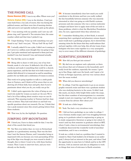# THE PHONE CALL

**Dianne Newman [DN]:** I was in my office. Where were you?

**Victoria Orphan [VO]:** I was in the kitchen. I had just come back from a run and, of course, this was during the political season, and there were lots of morning election calls and you're not typically inclined to pick up the phone.

**DN:** I was meeting with my postdoc and I saw my cell phone ring, and I ignored it. Ten minutes later, the same number called and that time I picked it up.

**VO:** I kept thinking, "Come up with something very profound to say." And I was just, "Oh my God! Oh my God!"

**DN:** I actually asked if it was a joke. I didn't see it coming at all. I never in a million years thought this was going to happen. I got quite emotional and expressed to them just how touched I was, how honored I was, and stunned actually.

**VO:** You feel like you're in shock!

**DN:** Being able to share it with [you,] one of my best friends, made it a lot nicer. It deflected a bit of the awkwardness and made it something that could be a shared, joyous experience, and the fact that we're both women in a similar field allowed it to transcend us and be something positive for our fields and a celebration of women in science.

This week we're going together to talk to a sixth-grade class in Ventura, and I think we'll be aware that we are showing all of those kids, boys and girls, that if you're passionate about what you do, you really can go far.

**VO:** I didn't quite appreciate the value of being an outward role model for women as much as I do now. We've had a lot of fun talking about creative ways we can do outreach. This amazing teacher in Ventura had her class write us letters. They had read about us and had very specific questions about our research. For me, I think that was a peak moment since this award, getting letters from these students.

**DN:** That was, by far, the highlight. No question.

## JUMPING OFF MOUNTAINS

**DN:** I hired you; I have to claim credit for that. I was the chair of the search that hired you.

**VO:** Yes! But even before that, we were in Switzerland together at a geochemistry meeting. That was the first time I met the famous Dianne, and I remember being so impressed with you because you went parasailing off the top of the Alps even though you were scared to death. I thought, this is where I want to be, with these fearless women. Then I came to interview here, and you were already on the faculty.

**DN:** It became immediately clear how much you could contribute to the division and how you really walked the line beautifully between someone who was sincerely interested in what was going on with Earth's systems processes and also someone who was a serious molecular ecologist and knew how to apply state-of-the-art tools to those problems, which is what the MacArthur Foundation also, I'm sure, appreciated when they selected you.

**VO:** I remember thinking that, at first blush, it seemed surprising that a geological and planetary science department would start a geobiology program, but it showed this amazing vision for the future that they could embrace that and put together, with your help, this all-star team of geobiologists who have come together in a very synergistic way to cover many of the different elements of geobiology.

## SCIENTIFIC JOURNEYS

**DN:** How did you first get into science?

**VO:** My dad was an engineer and a physicist, so there was always that sort of element in the household, and I really loved the outdoors, especially the oceans. I grew up in San Diego, right near the beach, and I spent a lot of time at Scripps aquarium, and was very curious about how the ocean worked.

**DN:** When did you discover microbiology?

**VO:** In college. I had the opportunity to go on an oceanographic research cruise and there was a graduate student who was studying bacteria in the ocean. It didn't look like much, you know, little bright blobs under the scope, but the sheer numbers of microorganisms in a seawater sample is just awe inspiring. I got off the cruise and took a course from his adviser. How about you?

**DN:** It took me a little longer.

**VO:** Yeah. You had a very circuitous route.

**DN:** I did not have geobiology on my radar in college. I was a German studies major, and I was struggling between going on to graduate school in engineering or going on to study comparative literature or going to law school. It wasn't until my first semester in graduate school at MIT, where I took a class in environmental microbiology, that I suddenly discovered the wonderful world of microbial metabolism, and it was a revelation.

It took me a while to land on a problem that I wanted to commit to. Since I had studied a lot of classics as an undergrad, I always had an interest in the past, and when I had the opportunity to come here to Caltech and be in the GPS division, I felt an interest and also an obligation to work on things that were of relevance to Earth scientists.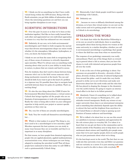**VO:** I think you hit on something too that I have really valued being within the GPS division. Being with the Earth scientists, you get little tidbits of information about where the interesting questions are and how you can bring together disciplines in new ways.

#### SCIENTIFIC INTERSECTIONS

**VO:** Over the past 14 years or so that we've been at this institution together, I feel like we have really learned from each other and appreciated our own individual approaches to science in a way that has enhanced our own research.

**DN:** Definitely. At our core, we're both environmental microbiologists and I think we both recognize the myriad ways that diverse microorganisms shape our entire world, whether it's the atmosphere, lithosphere, hydrosphere, or even, you know, the human body.

I think we are cut from the same cloth in recognizing that any of these areas of existence is critically dependent upon microbes. What I've always seen as something really amazing about what you do is your ability to study them in nature, in places that are remote and hard to access.

Now, for students, they don't need to choose between being someone who's out in the field versus someone who's doing mechanistic research at the bench. You can and should do both if you want to get to the heart of a problem in a rigorous way. It's possible these days to navigate back and forth between these two poles of a problem. That's an exciting thing!

**VO:** It's also the nice thing about the CEMI [Center for Environmental Microbial Interactions], a virtual center at Caltech that brings together all the people who are enthusiasts of microorganisms or work with microorganisms. Really the value is being able to draw on your colleagues' expertise to help enrich your project or answer specific questions as they come up.

**DN:** Yet, very few of them are actually microbiologists.

**VO:** Yeah. Very few would call themselves microbiologists, but ...

**DN:** Which is what makes it so great! The thing is, you don't need to be a microbiologist to love microbes, right? Microbes represent the best systems you can study in many ways because they are so tractable and they're so important in so many disciplines.

For that reason, we have people from chemical engineering, people who are applied physicists, applied mathematicians, neuroscientists even, whose techniques are now being adapted to studying the microbial world! That all these people have coalesced to form this entity we call CEMI is such a quintessentially Caltech thing.

**VO:** Historically, I don't think people would have equated microbiology with Caltech...

**DN:** Definitely not.

**VO:** ...because we were so diffusely distributed among the divisions, so to have this virtual center, we are now on the radar screen and we're getting people who want to come to Caltech to do microbiology.

# SPREADING THE WORD

**DN:** I do think that while the MacArthur Fellowship is at its core an award to individuals, there is something inescapable about them having chosen two women at the same university in a similar discipline, whether you call it environmental microbiology or geobiology, that speaks to where the field has come from when we started here.

The response of our geobiology community was really extraordinary. That's one of the things that's so rewarding in general about a life in science, that you have the chance to work with talented and generous people from all over the world.

**VO:** It sits at the core of what geobiology is about. Our successes are grounded in diversity—diversity of disciplines, diversity of ideas, diversity of cultural backgrounds from around the globe—and it's made this very fertile ground to strike out in new directions and make new discoveries about how the earth works and the roles that life has played in shaping the changes in the chemistry over the earth's history. It's going to require an international effort to do that to its fullest potential.

**DN:** Absolutely. I know it's something we've talked about in light of recent changes in Washington, D.C., and attitudes toward immigrants. Really any science at any major university these days is an international enterprise and is something that absolutely depends upon the ability to attract the best and the brightest from anywhere in the United States or abroad to help in opening up new frontiers of human endeavor and knowledge.

**VO:** We've talked a lot about how we can use this award as a platform to increase recognition and appreciation for the role science plays in everyday life. I've taken it to heart that we can get out there in the communities and in schools outside of the Pasadena area to help share our own excitement about science and, hopefully, give people some sense that we're just regular people; down-to-earth people who are just passionate about what we're doing.

It's the best-kept secret in the world. The fact that we can walk into this university every day and follow our passions and our curiosity as a career. It is just amazing and something we need to be able to share with everybody.  $\Box$